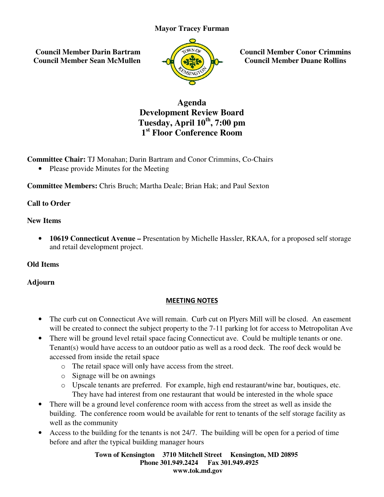## **Mayor Tracey Furman**

 **Council Member Darin Bartram Council Member Sean McMullen**



**Council Member Conor Crimmins Council Member Duane Rollins**

# **Development Review Board Tuesday Tuesday, April 10th, 7:00 pm 1 st Floor Conference Room Agenda**

**Committee Chair:** TJ Monahan; Darin Bartram and Conor Crimmins, Co-Chairs

• Please provide Minutes for the Meeting

**•** Please provide Minutes for the Meeting<br> **Committee Members:** Chris Bruch; Martha Deale; Brian Hak; and Paul Sexton

## **Call to Order**

#### **New Items**

• **10619 Connecticut Avenue –** Presentation by Michelle Hassler, RKAA, for a proposed self storage and retail development project. and retail

# **Old Items**

# **Adjourn**

#### MEETING NOTES

- The curb cut on Connecticut Ave will remain. Curb cut on Plyers Mill will be closed. An easement will be created to connect the subject property to the 7-11 parking lot for access to Metropolitan Ave
- There will be ground level retail space facing Connecticut ave. Could be multiple tenants or one. Tenant(s) would have access to an outdoor patio as well as a rood deck. The roof deck would be accessed from inside the retail space **EXECUTE:** Council Member Conor Crimmins<br> **Agenda**<br> **Agenda**<br> **Development Review Board**<br> **Tuesday, April 10<sup>th</sup>, 7:00 pm<br>
<b>Tuesday, April 10<sup>th</sup>, 7:00 pm<br>
<b>Tuesday, April 10<sup>th</sup>, 7:00 pm**<br> **Tuesday, April 10<sup>th</sup>, 7:00 pm<br>** 
	- o The retail space will only have access from the street.
	- o Signage will be on awnings
	- o Upscale tenants are preferred. For example, high end restaurant/wine bar, boutiques, etc. They have had interest from one restaurant that would be interested in the whole space ve access to an outdoor patio as well as a rood deck. The roof deck would be<br>m inside the retail space<br>retail space will only have access from the street.<br>age will be on awnings<br>cale tenants are preferred. For example, hig
- There will be a ground level conference room with access from the street as well as inside the building. The conference room would be available for rent to tenants of the self storage facility as well as the community
- Access to the building for the tenants is not 24/7. The building will be open for a period of time before and after the typical building manager hours g. The conference room would be available for rent to tenants of the self storage factor the community<br>to the building for the tenants is not 24/7. The building will be open for a period of<br>and after the typical building m

**Town of Kensington Kensington 3710 Mitchell Street Kensington, MD 20895 Phone 301.949.2424 301.949.2424 Fax 301.949.4925 www.tok.md.gov**